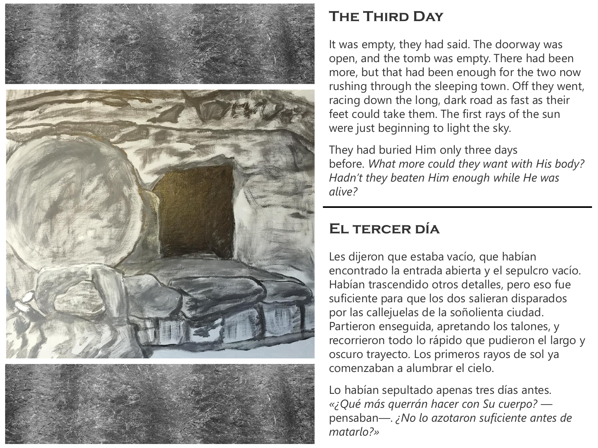

## **The Third Day**

It was empty, they had said. The doorway was open, and the tomb was empty. There had been more, but that had been enough for the two now rushing through the sleeping town. Off they went, racing down the long, dark road as fast as their feet could take them. The first rays of the sun were just beginning to light the sky.

They had buried Him only three days before. *What more could they want with His body? Hadn't they beaten Him enough while He was alive?*

## **El tercer día**

Les dijeron que estaba vacío, que habían encontrado la entrada abierta y el sepulcro vacío. Habían trascendido otros detalles, pero eso fue suficiente para que los dos salieran disparados por las callejuelas de la soñolienta ciudad. Partieron enseguida, apretando los talones, y recorrieron todo lo rápido que pudieron el largo y oscuro trayecto. Los primeros rayos de sol ya comenzaban a alumbrar el cielo.

Lo habían sepultado apenas tres días antes. *«¿Qué más querrán hacer con Su cuerpo?*  pensaban—. *¿No lo azotaron suficiente antes de matarlo?»*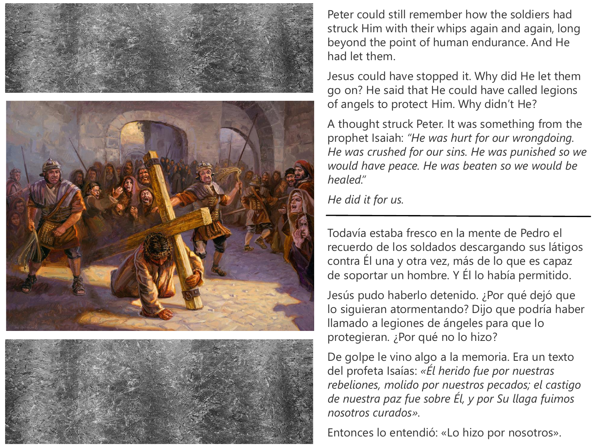





Peter could still remember how the soldiers had struck Him with their whips again and again, long beyond the point of human endurance. And He had let them.

Jesus could have stopped it. Why did He let them go on? He said that He could have called legions of angels to protect Him. Why didn't He?

A thought struck Peter. It was something from the prophet Isaiah: *"He was hurt for our wrongdoing. He was crushed for our sins. He was punished so we would have peace. He was beaten so we would be healed."*

*He did it for us.*

Todavía estaba fresco en la mente de Pedro el recuerdo de los soldados descargando sus látigos contra Él una y otra vez, más de lo que es capaz de soportar un hombre. Y Él lo había permitido.

Jesús pudo haberlo detenido. ¿Por qué dejó que lo siguieran atormentando? Dijo que podría haber llamado a legiones de ángeles para que lo protegieran. ¿Por qué no lo hizo?

De golpe le vino algo a la memoria. Era un texto del profeta Isaías: *«Él herido fue por nuestras rebeliones, molido por nuestros pecados; el castigo de nuestra paz fue sobre Él, y por Su llaga fuimos nosotros curados».*

Entonces lo entendió: «Lo hizo por nosotros».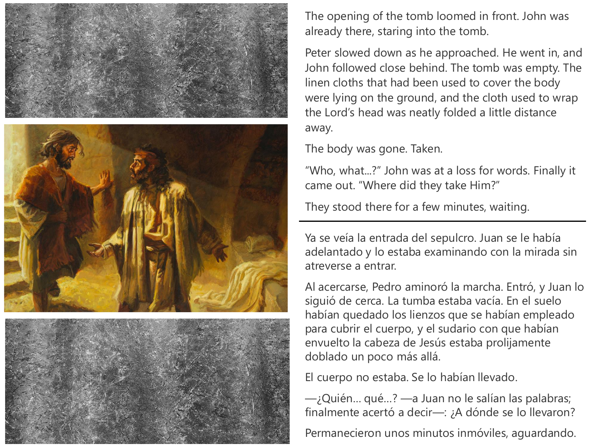





The opening of the tomb loomed in front. John was already there, staring into the tomb.

Peter slowed down as he approached. He went in, and John followed close behind. The tomb was empty. The linen cloths that had been used to cover the body were lying on the ground, and the cloth used to wrap the Lord's head was neatly folded a little distance away.

The body was gone. Taken.

"Who, what...?" John was at a loss for words. Finally it came out. "Where did they take Him?"

They stood there for a few minutes, waiting.

Ya se veía la entrada del sepulcro. Juan se le había adelantado y lo estaba examinando con la mirada sin atreverse a entrar.

Al acercarse, Pedro aminoró la marcha. Entró, y Juan lo siguió de cerca. La tumba estaba vacía. En el suelo habían quedado los lienzos que se habían empleado para cubrir el cuerpo, y el sudario con que habían envuelto la cabeza de Jesús estaba prolijamente doblado un poco más allá.

El cuerpo no estaba. Se lo habían llevado.

—¿Quién… qué…? —a Juan no le salían las palabras; finalmente acertó a decir—: ¿A dónde se lo llevaron?

Permanecieron unos minutos inmóviles, aguardando.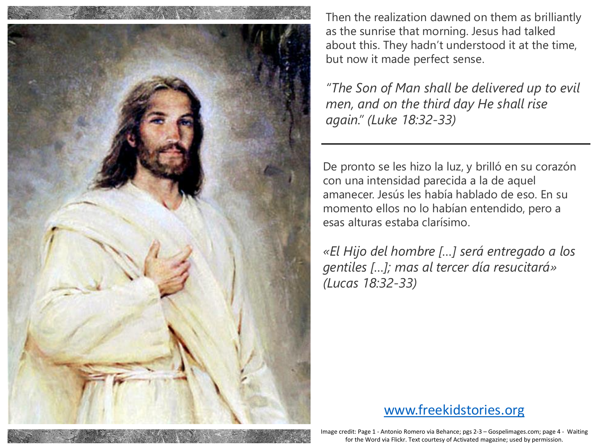

Then the realization dawned on them as brilliantly as the sunrise that morning. Jesus had talked about this. They hadn't understood it at the time, but now it made perfect sense.

*"The Son of Man shall be delivered up to evil men, and on the third day He shall rise again." (Luke 18:32-33)*

De pronto se les hizo la luz, y brilló en su corazón con una intensidad parecida a la de aquel amanecer. Jesús les había hablado de eso. En su momento ellos no lo habían entendido, pero a esas alturas estaba clarísimo.

*«El Hijo del hombre […] será entregado a los gentiles […]; mas al tercer día resucitará» (Lucas 18:32-33)*

## [www.freekidstories.org](http://www.freekidstories.org/)

Image credit: Page 1 - Antonio Romero via Behance; pgs 2-3 – Gospelimages.com; page 4 - Waiting for the Word via Flickr. Text courtesy of Activated magazine; used by permission.